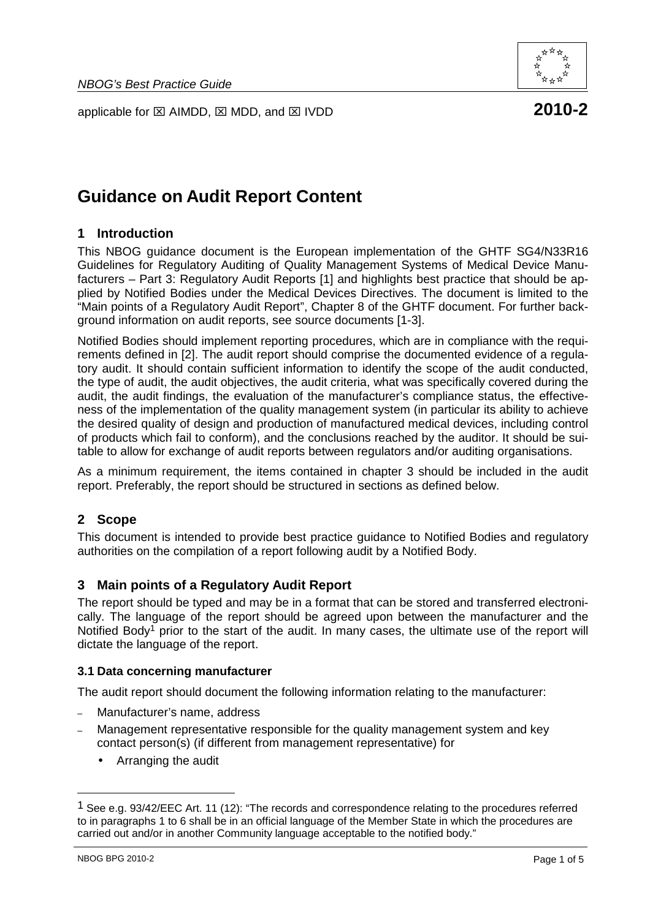



# **Guidance on Audit Report Content**

# **1 Introduction**

This NBOG guidance document is the European implementation of the GHTF SG4/N33R16 Guidelines for Regulatory Auditing of Quality Management Systems of Medical Device Manufacturers – Part 3: Regulatory Audit Reports [1] and highlights best practice that should be applied by Notified Bodies under the Medical Devices Directives. The document is limited to the "Main points of a Regulatory Audit Report", Chapter 8 of the GHTF document. For further background information on audit reports, see source documents [1-3].

Notified Bodies should implement reporting procedures, which are in compliance with the requirements defined in [2]. The audit report should comprise the documented evidence of a regulatory audit. It should contain sufficient information to identify the scope of the audit conducted, the type of audit, the audit objectives, the audit criteria, what was specifically covered during the audit, the audit findings, the evaluation of the manufacturer's compliance status, the effectiveness of the implementation of the quality management system (in particular its ability to achieve the desired quality of design and production of manufactured medical devices, including control of products which fail to conform), and the conclusions reached by the auditor. It should be suitable to allow for exchange of audit reports between regulators and/or auditing organisations.

As a minimum requirement, the items contained in chapter 3 should be included in the audit report. Preferably, the report should be structured in sections as defined below.

# **2 Scope**

This document is intended to provide best practice guidance to Notified Bodies and regulatory authorities on the compilation of a report following audit by a Notified Body.

# **3 Main points of a Regulatory Audit Report**

The report should be typed and may be in a format that can be stored and transferred electronically. The language of the report should be agreed upon between the manufacturer and the Notified Body<sup>1</sup> prior to the start of the audit. In many cases, the ultimate use of the report will dictate the language of the report.

### **3.1 Data concerning manufacturer**

The audit report should document the following information relating to the manufacturer:

- Manufacturer's name, address
- Management representative responsible for the quality management system and key contact person(s) (if different from management representative) for
	- Arranging the audit

 $\overline{a}$ 

<sup>&</sup>lt;sup>1</sup> See e.g. 93/42/EEC Art. 11 (12): "The records and correspondence relating to the procedures referred to in paragraphs 1 to 6 shall be in an official language of the Member State in which the procedures are carried out and/or in another Community language acceptable to the notified body."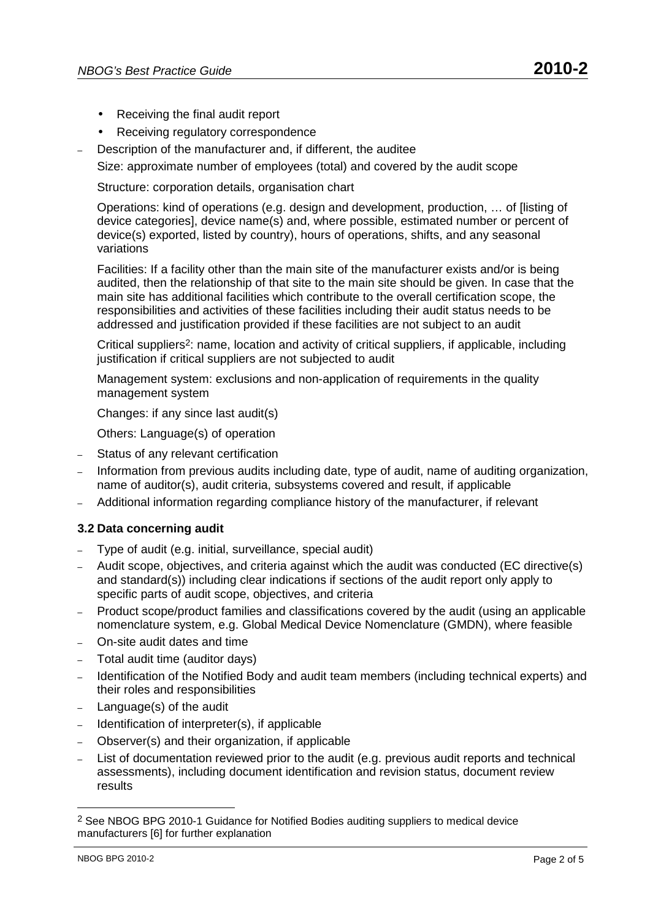- Receiving the final audit report
- Receiving regulatory correspondence
- Description of the manufacturer and, if different, the auditee
- Size: approximate number of employees (total) and covered by the audit scope

Structure: corporation details, organisation chart

Operations: kind of operations (e.g. design and development, production, … of [listing of device categories], device name(s) and, where possible, estimated number or percent of device(s) exported, listed by country), hours of operations, shifts, and any seasonal variations

Facilities: If a facility other than the main site of the manufacturer exists and/or is being audited, then the relationship of that site to the main site should be given. In case that the main site has additional facilities which contribute to the overall certification scope, the responsibilities and activities of these facilities including their audit status needs to be addressed and justification provided if these facilities are not subject to an audit

Critical suppliers<sup>2</sup>: name, location and activity of critical suppliers, if applicable, including justification if critical suppliers are not subjected to audit

Management system: exclusions and non-application of requirements in the quality management system

Changes: if any since last audit(s)

Others: Language(s) of operation

- Status of any relevant certification
- Information from previous audits including date, type of audit, name of auditing organization, name of auditor(s), audit criteria, subsystems covered and result, if applicable
- Additional information regarding compliance history of the manufacturer, if relevant

### **3.2 Data concerning audit**

- Type of audit (e.g. initial, surveillance, special audit)
- Audit scope, objectives, and criteria against which the audit was conducted (EC directive(s) and standard(s)) including clear indications if sections of the audit report only apply to specific parts of audit scope, objectives, and criteria
- Product scope/product families and classifications covered by the audit (using an applicable nomenclature system, e.g. Global Medical Device Nomenclature (GMDN), where feasible
- On-site audit dates and time
- Total audit time (auditor days)
- Identification of the Notified Body and audit team members (including technical experts) and their roles and responsibilities
- Language(s) of the audit
- Identification of interpreter(s), if applicable
- Observer(s) and their organization, if applicable
- List of documentation reviewed prior to the audit (e.g. previous audit reports and technical assessments), including document identification and revision status, document review results

l

<sup>2</sup> See NBOG BPG 2010-1 Guidance for Notified Bodies auditing suppliers to medical device manufacturers [6] for further explanation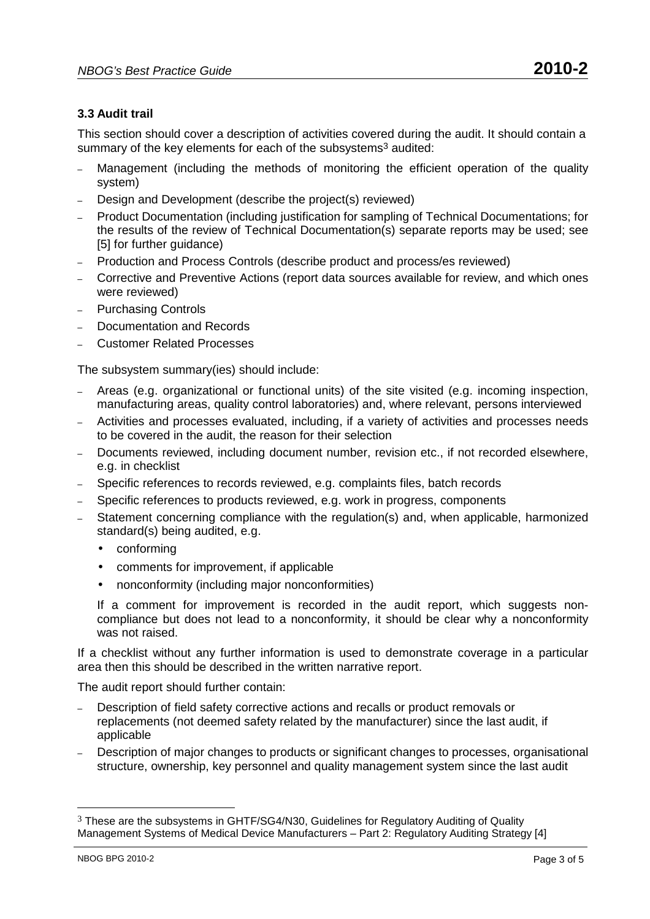# **3.3 Audit trail**

This section should cover a description of activities covered during the audit. It should contain a summary of the key elements for each of the subsystems<sup>3</sup> audited:

- Management (including the methods of monitoring the efficient operation of the quality system)
- Design and Development (describe the project(s) reviewed)
- Product Documentation (including justification for sampling of Technical Documentations; for the results of the review of Technical Documentation(s) separate reports may be used; see [5] for further guidance)
- Production and Process Controls (describe product and process/es reviewed)
- Corrective and Preventive Actions (report data sources available for review, and which ones were reviewed)
- Purchasing Controls
- Documentation and Records
- Customer Related Processes

The subsystem summary(ies) should include:

- Areas (e.g. organizational or functional units) of the site visited (e.g. incoming inspection, manufacturing areas, quality control laboratories) and, where relevant, persons interviewed
- Activities and processes evaluated, including, if a variety of activities and processes needs to be covered in the audit, the reason for their selection
- Documents reviewed, including document number, revision etc., if not recorded elsewhere, e.g. in checklist
- Specific references to records reviewed, e.g. complaints files, batch records
- Specific references to products reviewed, e.g. work in progress, components
- Statement concerning compliance with the regulation(s) and, when applicable, harmonized standard(s) being audited, e.g.
	- conforming
	- comments for improvement, if applicable
	- nonconformity (including major nonconformities)

If a comment for improvement is recorded in the audit report, which suggests noncompliance but does not lead to a nonconformity, it should be clear why a nonconformity was not raised.

If a checklist without any further information is used to demonstrate coverage in a particular area then this should be described in the written narrative report.

The audit report should further contain:

- Description of field safety corrective actions and recalls or product removals or replacements (not deemed safety related by the manufacturer) since the last audit, if applicable
- Description of major changes to products or significant changes to processes, organisational structure, ownership, key personnel and quality management system since the last audit

l

<sup>3</sup> These are the subsystems in GHTF/SG4/N30, Guidelines for Regulatory Auditing of Quality Management Systems of Medical Device Manufacturers – Part 2: Regulatory Auditing Strategy [4]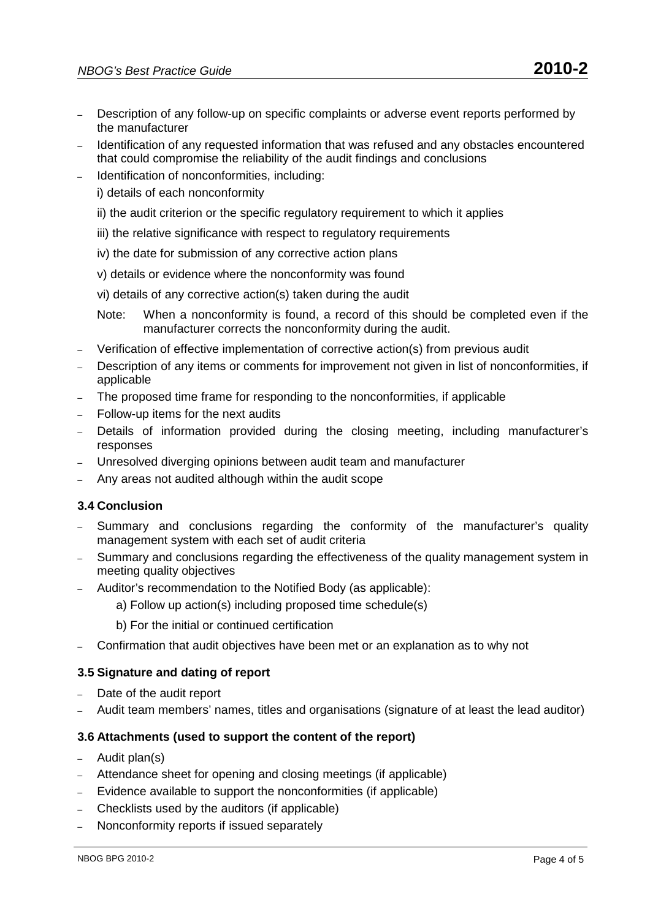- Description of any follow-up on specific complaints or adverse event reports performed by the manufacturer
- Identification of any requested information that was refused and any obstacles encountered that could compromise the reliability of the audit findings and conclusions
- Identification of nonconformities, including:
	- i) details of each nonconformity
	- ii) the audit criterion or the specific regulatory requirement to which it applies
	- iii) the relative significance with respect to regulatory requirements
	- iv) the date for submission of any corrective action plans
	- v) details or evidence where the nonconformity was found
	- vi) details of any corrective action(s) taken during the audit
	- Note: When a nonconformity is found, a record of this should be completed even if the manufacturer corrects the nonconformity during the audit.
- Verification of effective implementation of corrective action(s) from previous audit
- Description of any items or comments for improvement not given in list of nonconformities, if applicable
- The proposed time frame for responding to the nonconformities, if applicable
- Follow-up items for the next audits
- Details of information provided during the closing meeting, including manufacturer's responses
- Unresolved diverging opinions between audit team and manufacturer
- Any areas not audited although within the audit scope

# **3.4 Conclusion**

- Summary and conclusions regarding the conformity of the manufacturer's quality management system with each set of audit criteria
- Summary and conclusions regarding the effectiveness of the quality management system in meeting quality objectives
- Auditor's recommendation to the Notified Body (as applicable):
	- a) Follow up action(s) including proposed time schedule(s)
	- b) For the initial or continued certification
- Confirmation that audit objectives have been met or an explanation as to why not

### **3.5 Signature and dating of report**

- Date of the audit report
- Audit team members' names, titles and organisations (signature of at least the lead auditor)

# **3.6 Attachments (used to support the content of the report)**

- Audit plan(s)
- Attendance sheet for opening and closing meetings (if applicable)
- Evidence available to support the nonconformities (if applicable)
- Checklists used by the auditors (if applicable)
- Nonconformity reports if issued separately